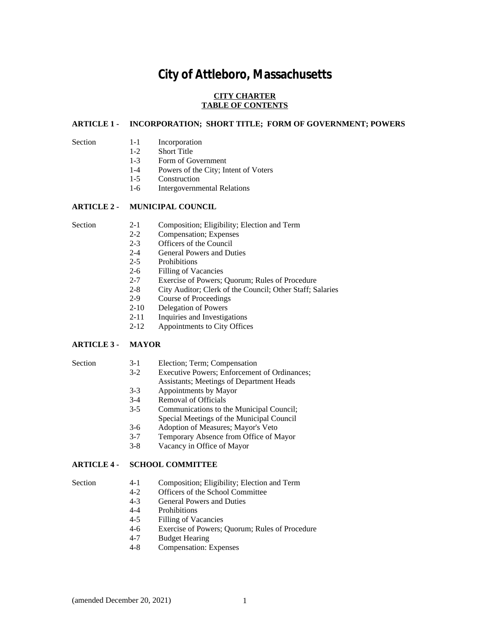# **City of Attleboro, Massachusetts**

## **CITY CHARTER TABLE OF CONTENTS**

## **ARTICLE 1 - INCORPORATION; SHORT TITLE; FORM OF GOVERNMENT; POWERS**

- Section 1-1 Incorporation<br>1-2 Short Title
	- **Short Title**
	- 1-3 Form of Government
	- 1-4 Powers of the City; Intent of Voters
	- 1-5 Construction
	- 1-6 Intergovernmental Relations

## **ARTICLE 2 - MUNICIPAL COUNCIL**

- Section 2-1 Composition; Eligibility; Election and Term
	- 2-2 Compensation; Expenses
	- 2-3 Officers of the Council<br>2-4 General Powers and Du
	- General Powers and Duties
	- 2-5 Prohibitions
	- 2-6 Filling of Vacancies<br>2-7 Exercise of Powers:
	- Exercise of Powers; Quorum; Rules of Procedure
	- 2-8 City Auditor; Clerk of the Council; Other Staff; Salaries
	- 2-9 Course of Proceedings<br>2-10 Delegation of Powers
	- Delegation of Powers
	- 2-11 Inquiries and Investigations
	- 2-12 Appointments to City Offices

## **ARTICLE 3 - MAYOR**

#### Section 3-1 Election; Term; Compensation

- 3-2 Executive Powers; Enforcement of Ordinances;
- Assistants; Meetings of Department Heads
- 3-3 Appointments by Mayor
- 3-4 Removal of Officials<br>3-5 Communications to the
- Communications to the Municipal Council;
	- Special Meetings of the Municipal Council
- 3-6 Adoption of Measures; Mayor's Veto
- 3-7 Temporary Absence from Office of Mayor
- 3-8 Vacancy in Office of Mayor

## **ARTICLE 4 - SCHOOL COMMITTEE**

- Section 4-1 Composition; Eligibility; Election and Term
	- 4-2 Officers of the School Committee<br>4-3 General Powers and Duties
	- 4-3 General Powers and Duties<br>4-4 Prohibitions
	- 4-4 Prohibitions<br>4-5 Filling of Va
	- 4-5 Filling of Vacancies<br>4-6 Exercise of Powers:
	- 4-6 Exercise of Powers; Quorum; Rules of Procedure<br>4-7 Budget Hearing
	- **Budget Hearing**
	- 4-8 Compensation: Expenses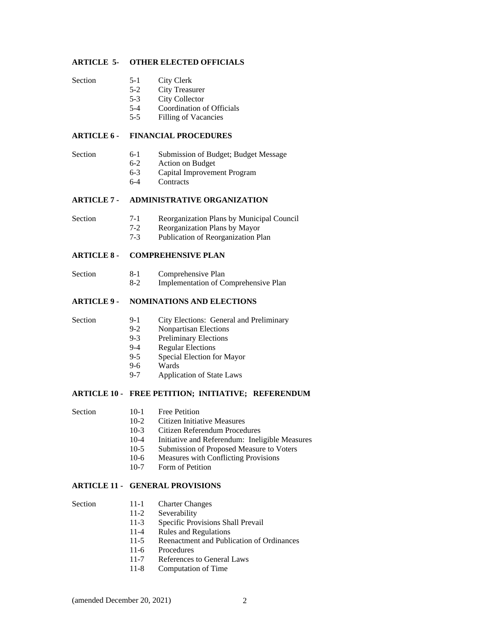## **ARTICLE 5- OTHER ELECTED OFFICIALS**

- Section 5-1 City Clerk
	-
	- 5-2 City Treasurer<br>5-3 City Collector City Collector
	- 5-4 Coordination of Officials
	-
	- 5-5 Filling of Vacancies

## **ARTICLE 6 - FINANCIAL PROCEDURES**

- Section 6-1 Submission of Budget; Budget Message<br>6-2 Action on Budget
	- 6-2 Action on Budget<br>6-3 Capital Improvement
	- 6-3 Capital Improvement Program<br>6-4 Contracts
	- Contracts

## **ARTICLE 7 - ADMINISTRATIVE ORGANIZATION**

- Section 7-1 Reorganization Plans by Municipal Council
	- 7-2 Reorganization Plans by Mayor<br>7-3 Publication of Reorganization Pl
	- Publication of Reorganization Plan

## **ARTICLE 8 - COMPREHENSIVE PLAN**

- Section 8-1 Comprehensive Plan
	- 8-2 Implementation of Comprehensive Plan

## **ARTICLE 9 - NOMINATIONS AND ELECTIONS**

- Section 9-1 City Elections: General and Preliminary<br>9-2 Nonpartisan Elections
	- Nonpartisan Elections
	- 9-3 Preliminary Elections<br>9-4 Regular Elections
	- 9-4 Regular Elections<br>9-5 Special Election fo
	- Special Election for Mayor
	- 9-6 Wards<br>9-7 Applic
	- Application of State Laws

## **ARTICLE 10 - FREE PETITION; INITIATIVE; REFERENDUM**

- 
- Section 10-1 Free Petition
	- 10-2 Citizen Initiative Measures<br>10-3 Citizen Referendum Proced
	- Citizen Referendum Procedures
	- 10-4 Initiative and Referendum: Ineligible Measures
	- 10-5 Submission of Proposed Measure to Voters<br>10-6 Measures with Conflicting Provisions
	- Measures with Conflicting Provisions
	- 10-7 Form of Petition

## **ARTICLE 11 - GENERAL PROVISIONS**

- Section 11-1 Charter Changes<br>11-2 Severability
	- Severability
	- 11-3 Specific Provisions Shall Prevail
	- 11-4 Rules and Regulations<br>11-5 Reenactment and Publi
	- Reenactment and Publication of Ordinances
	- 11-6 Procedures
	- 11-7 References to General Laws
	- 11-8 Computation of Time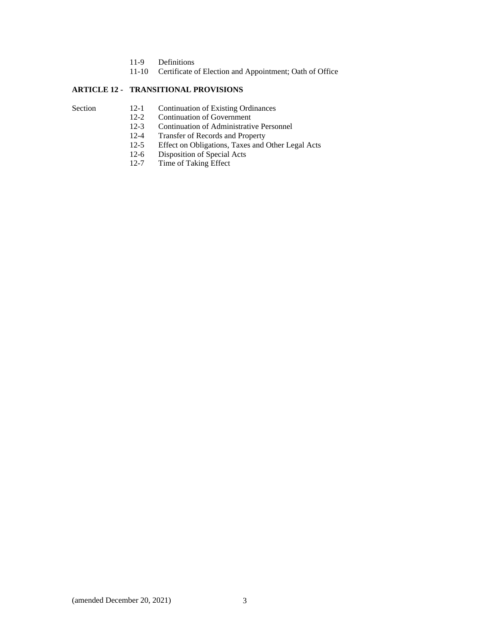- 11-9 Definitions
- 11-10 Certificate of Election and Appointment; Oath of Office

## **ARTICLE 12 - TRANSITIONAL PROVISIONS**

- 
- Section 12-1 Continuation of Existing Ordinances<br>12-2 Continuation of Government
	- 12-2 Continuation of Government<br>12-3 Continuation of Administrativ Continuation of Administrative Personnel
	-
	- 12-4 Transfer of Records and Property<br>12-5 Effect on Obligations, Taxes and C 12-5 Effect on Obligations, Taxes and Other Legal Acts<br>12-6 Disposition of Special Acts
	- 12-6 Disposition of Special Acts<br>12-7 Time of Taking Effect
	- Time of Taking Effect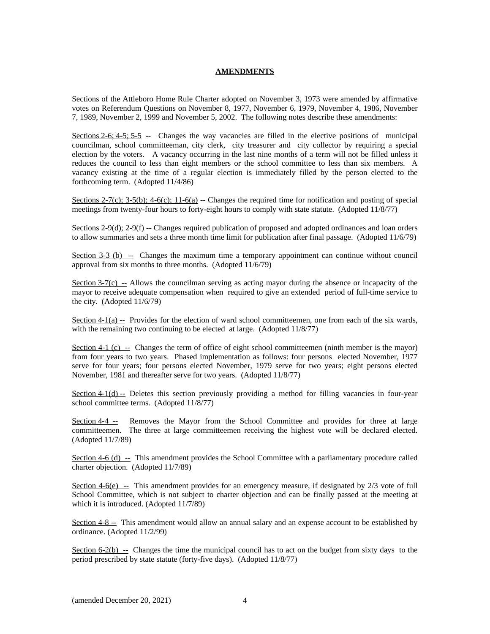## **AMENDMENTS**

Sections of the Attleboro Home Rule Charter adopted on November 3, 1973 were amended by affirmative votes on Referendum Questions on November 8, 1977, November 6, 1979, November 4, 1986, November 7, 1989, November 2, 1999 and November 5, 2002. The following notes describe these amendments:

Sections 2-6; 4-5; 5-5 -- Changes the way vacancies are filled in the elective positions of municipal councilman, school committeeman, city clerk, city treasurer and city collector by requiring a special election by the voters. A vacancy occurring in the last nine months of a term will not be filled unless it reduces the council to less than eight members or the school committee to less than six members. A vacancy existing at the time of a regular election is immediately filled by the person elected to the forthcoming term. (Adopted 11/4/86)

Sections 2-7(c); 3-5(b); 4-6(c); 11-6(a) -- Changes the required time for notification and posting of special meetings from twenty-four hours to forty-eight hours to comply with state statute. (Adopted 11/8/77)

Sections 2-9(d); 2-9(f) -- Changes required publication of proposed and adopted ordinances and loan orders to allow summaries and sets a three month time limit for publication after final passage. (Adopted 11/6/79)

Section  $3-3$  (b)  $-$  Changes the maximum time a temporary appointment can continue without council approval from six months to three months. (Adopted 11/6/79)

Section  $3-7(c)$  -- Allows the councilman serving as acting mayor during the absence or incapacity of the mayor to receive adequate compensation when required to give an extended period of full-time service to the city. (Adopted 11/6/79)

Section  $4-1(a)$  -- Provides for the election of ward school committeemen, one from each of the six wards, with the remaining two continuing to be elected at large. (Adopted 11/8/77)

Section 4-1 (c)  $\text{...}$  Changes the term of office of eight school committeemen (ninth member is the mayor) from four years to two years. Phased implementation as follows: four persons elected November, 1977 serve for four years; four persons elected November, 1979 serve for two years; eight persons elected November, 1981 and thereafter serve for two years. (Adopted 11/8/77)

Section  $4-1(d)$  -- Deletes this section previously providing a method for filling vacancies in four-year school committee terms. (Adopted 11/8/77)

Section 4-4 -- Removes the Mayor from the School Committee and provides for three at large committeemen. The three at large committeemen receiving the highest vote will be declared elected. (Adopted 11/7/89)

Section 4-6 (d) -- This amendment provides the School Committee with a parliamentary procedure called charter objection. (Adopted 11/7/89)

Section  $4-6(e)$  -- This amendment provides for an emergency measure, if designated by  $2/3$  vote of full School Committee, which is not subject to charter objection and can be finally passed at the meeting at which it is introduced. (Adopted 11/7/89)

Section 4-8 -- This amendment would allow an annual salary and an expense account to be established by ordinance. (Adopted 11/2/99)

Section  $6-2(b)$  -- Changes the time the municipal council has to act on the budget from sixty days to the period prescribed by state statute (forty-five days). (Adopted 11/8/77)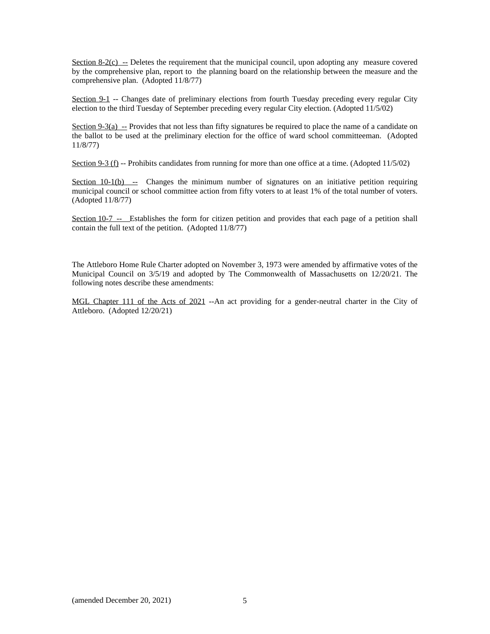Section  $8-2(c)$  -- Deletes the requirement that the municipal council, upon adopting any measure covered by the comprehensive plan, report to the planning board on the relationship between the measure and the comprehensive plan. (Adopted 11/8/77)

Section 9-1 -- Changes date of preliminary elections from fourth Tuesday preceding every regular City election to the third Tuesday of September preceding every regular City election. (Adopted 11/5/02)

Section 9-3(a) -- Provides that not less than fifty signatures be required to place the name of a candidate on the ballot to be used at the preliminary election for the office of ward school committeeman. (Adopted 11/8/77)

Section 9-3 (f) -- Prohibits candidates from running for more than one office at a time. (Adopted 11/5/02)

Section  $10-1(b)$  -- Changes the minimum number of signatures on an initiative petition requiring municipal council or school committee action from fifty voters to at least 1% of the total number of voters. (Adopted 11/8/77)

Section 10-7 -- Establishes the form for citizen petition and provides that each page of a petition shall contain the full text of the petition. (Adopted 11/8/77)

The Attleboro Home Rule Charter adopted on November 3, 1973 were amended by affirmative votes of the Municipal Council on 3/5/19 and adopted by The Commonwealth of Massachusetts on 12/20/21. The following notes describe these amendments:

MGL Chapter 111 of the Acts of 2021 --An act providing for a gender-neutral charter in the City of Attleboro. (Adopted 12/20/21)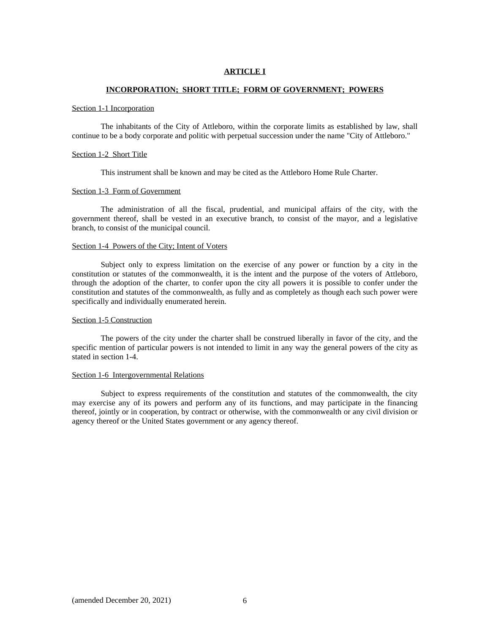## **ARTICLE I**

## **INCORPORATION; SHORT TITLE; FORM OF GOVERNMENT; POWERS**

#### Section 1-1 Incorporation

 The inhabitants of the City of Attleboro, within the corporate limits as established by law, shall continue to be a body corporate and politic with perpetual succession under the name "City of Attleboro."

## Section 1-2 Short Title

This instrument shall be known and may be cited as the Attleboro Home Rule Charter.

## Section 1-3 Form of Government

 The administration of all the fiscal, prudential, and municipal affairs of the city, with the government thereof, shall be vested in an executive branch, to consist of the mayor, and a legislative branch, to consist of the municipal council.

## Section 1-4 Powers of the City; Intent of Voters

 Subject only to express limitation on the exercise of any power or function by a city in the constitution or statutes of the commonwealth, it is the intent and the purpose of the voters of Attleboro, through the adoption of the charter, to confer upon the city all powers it is possible to confer under the constitution and statutes of the commonwealth, as fully and as completely as though each such power were specifically and individually enumerated herein.

#### Section 1-5 Construction

 The powers of the city under the charter shall be construed liberally in favor of the city, and the specific mention of particular powers is not intended to limit in any way the general powers of the city as stated in section 1-4.

## Section 1-6 Intergovernmental Relations

 Subject to express requirements of the constitution and statutes of the commonwealth, the city may exercise any of its powers and perform any of its functions, and may participate in the financing thereof, jointly or in cooperation, by contract or otherwise, with the commonwealth or any civil division or agency thereof or the United States government or any agency thereof.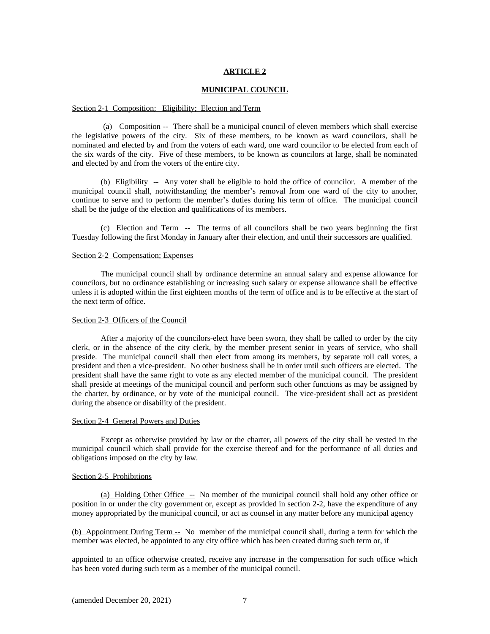#### **MUNICIPAL COUNCIL**

#### Section 2-1 Composition; Eligibility; Election and Term

 (a) Composition -- There shall be a municipal council of eleven members which shall exercise the legislative powers of the city. Six of these members, to be known as ward councilors, shall be nominated and elected by and from the voters of each ward, one ward councilor to be elected from each of the six wards of the city. Five of these members, to be known as councilors at large, shall be nominated and elected by and from the voters of the entire city.

(b) Eligibility -- Any voter shall be eligible to hold the office of councilor. A member of the municipal council shall, notwithstanding the member's removal from one ward of the city to another, continue to serve and to perform the member's duties during his term of office. The municipal council shall be the judge of the election and qualifications of its members.

 (c) Election and Term -- The terms of all councilors shall be two years beginning the first Tuesday following the first Monday in January after their election, and until their successors are qualified.

## Section 2-2 Compensation; Expenses

 The municipal council shall by ordinance determine an annual salary and expense allowance for councilors, but no ordinance establishing or increasing such salary or expense allowance shall be effective unless it is adopted within the first eighteen months of the term of office and is to be effective at the start of the next term of office.

#### Section 2-3 Officers of the Council

 After a majority of the councilors-elect have been sworn, they shall be called to order by the city clerk, or in the absence of the city clerk, by the member present senior in years of service, who shall preside. The municipal council shall then elect from among its members, by separate roll call votes, a president and then a vice-president. No other business shall be in order until such officers are elected. The president shall have the same right to vote as any elected member of the municipal council. The president shall preside at meetings of the municipal council and perform such other functions as may be assigned by the charter, by ordinance, or by vote of the municipal council. The vice-president shall act as president during the absence or disability of the president.

#### Section 2-4 General Powers and Duties

 Except as otherwise provided by law or the charter, all powers of the city shall be vested in the municipal council which shall provide for the exercise thereof and for the performance of all duties and obligations imposed on the city by law.

## Section 2-5 Prohibitions

 (a) Holding Other Office -- No member of the municipal council shall hold any other office or position in or under the city government or, except as provided in section 2-2, have the expenditure of any money appropriated by the municipal council, or act as counsel in any matter before any municipal agency

(b) Appointment During Term -- No member of the municipal council shall, during a term for which the member was elected, be appointed to any city office which has been created during such term or, if

appointed to an office otherwise created, receive any increase in the compensation for such office which has been voted during such term as a member of the municipal council.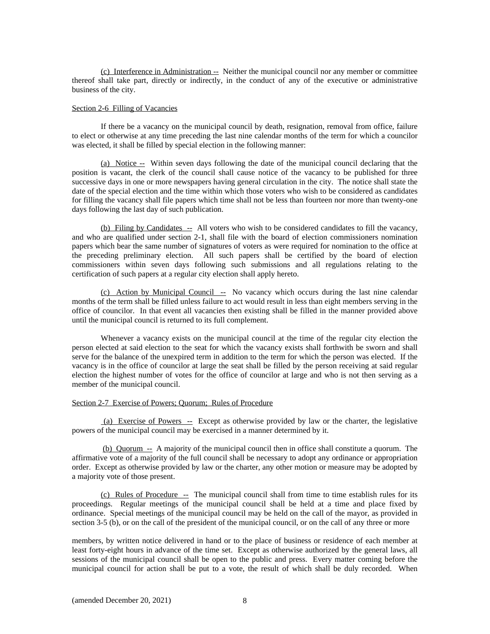(c) Interference in Administration -- Neither the municipal council nor any member or committee thereof shall take part, directly or indirectly, in the conduct of any of the executive or administrative business of the city.

#### Section 2-6 Filling of Vacancies

 If there be a vacancy on the municipal council by death, resignation, removal from office, failure to elect or otherwise at any time preceding the last nine calendar months of the term for which a councilor was elected, it shall be filled by special election in the following manner:

 (a) Notice -- Within seven days following the date of the municipal council declaring that the position is vacant, the clerk of the council shall cause notice of the vacancy to be published for three successive days in one or more newspapers having general circulation in the city. The notice shall state the date of the special election and the time within which those voters who wish to be considered as candidates for filling the vacancy shall file papers which time shall not be less than fourteen nor more than twenty-one days following the last day of such publication.

(b) Filing by Candidates -- All voters who wish to be considered candidates to fill the vacancy, and who are qualified under section 2-1, shall file with the board of election commissioners nomination papers which bear the same number of signatures of voters as were required for nomination to the office at the preceding preliminary election. All such papers shall be certified by the board of election commissioners within seven days following such submissions and all regulations relating to the certification of such papers at a regular city election shall apply hereto.

 (c) Action by Municipal Council -- No vacancy which occurs during the last nine calendar months of the term shall be filled unless failure to act would result in less than eight members serving in the office of councilor. In that event all vacancies then existing shall be filled in the manner provided above until the municipal council is returned to its full complement.

 Whenever a vacancy exists on the municipal council at the time of the regular city election the person elected at said election to the seat for which the vacancy exists shall forthwith be sworn and shall serve for the balance of the unexpired term in addition to the term for which the person was elected. If the vacancy is in the office of councilor at large the seat shall be filled by the person receiving at said regular election the highest number of votes for the office of councilor at large and who is not then serving as a member of the municipal council.

## Section 2-7 Exercise of Powers; Quorum; Rules of Procedure

 (a) Exercise of Powers -- Except as otherwise provided by law or the charter, the legislative powers of the municipal council may be exercised in a manner determined by it.

 (b) Quorum -- A majority of the municipal council then in office shall constitute a quorum. The affirmative vote of a majority of the full council shall be necessary to adopt any ordinance or appropriation order. Except as otherwise provided by law or the charter, any other motion or measure may be adopted by a majority vote of those present.

 (c) Rules of Procedure -- The municipal council shall from time to time establish rules for its proceedings. Regular meetings of the municipal council shall be held at a time and place fixed by ordinance. Special meetings of the municipal council may be held on the call of the mayor, as provided in section 3-5 (b), or on the call of the president of the municipal council, or on the call of any three or more

members, by written notice delivered in hand or to the place of business or residence of each member at least forty-eight hours in advance of the time set. Except as otherwise authorized by the general laws, all sessions of the municipal council shall be open to the public and press. Every matter coming before the municipal council for action shall be put to a vote, the result of which shall be duly recorded. When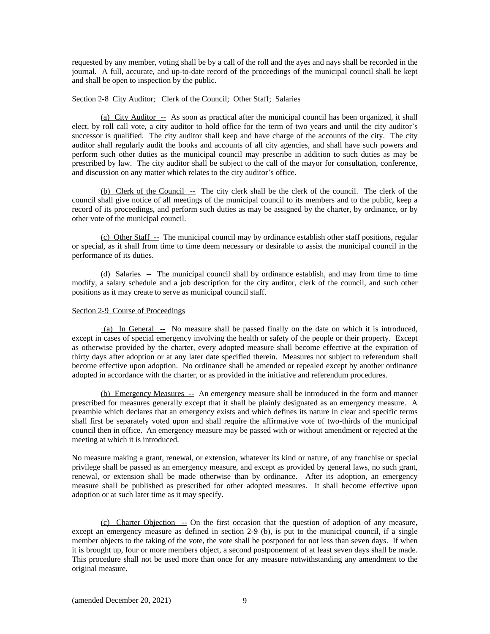requested by any member, voting shall be by a call of the roll and the ayes and nays shall be recorded in the journal. A full, accurate, and up-to-date record of the proceedings of the municipal council shall be kept and shall be open to inspection by the public.

## Section 2-8 City Auditor; Clerk of the Council; Other Staff; Salaries

 (a) City Auditor -- As soon as practical after the municipal council has been organized, it shall elect, by roll call vote, a city auditor to hold office for the term of two years and until the city auditor's successor is qualified. The city auditor shall keep and have charge of the accounts of the city. The city auditor shall regularly audit the books and accounts of all city agencies, and shall have such powers and perform such other duties as the municipal council may prescribe in addition to such duties as may be prescribed by law. The city auditor shall be subject to the call of the mayor for consultation, conference, and discussion on any matter which relates to the city auditor's office.

(b) Clerk of the Council  $\overline{\phantom{a}}$  - The city clerk shall be the clerk of the council. The clerk of the council shall give notice of all meetings of the municipal council to its members and to the public, keep a record of its proceedings, and perform such duties as may be assigned by the charter, by ordinance, or by other vote of the municipal council.

 (c) Other Staff -- The municipal council may by ordinance establish other staff positions, regular or special, as it shall from time to time deem necessary or desirable to assist the municipal council in the performance of its duties.

 (d) Salaries -- The municipal council shall by ordinance establish, and may from time to time modify, a salary schedule and a job description for the city auditor, clerk of the council, and such other positions as it may create to serve as municipal council staff.

## Section 2-9 Course of Proceedings

 (a) In General -- No measure shall be passed finally on the date on which it is introduced, except in cases of special emergency involving the health or safety of the people or their property. Except as otherwise provided by the charter, every adopted measure shall become effective at the expiration of thirty days after adoption or at any later date specified therein. Measures not subject to referendum shall become effective upon adoption. No ordinance shall be amended or repealed except by another ordinance adopted in accordance with the charter, or as provided in the initiative and referendum procedures.

 (b) Emergency Measures -- An emergency measure shall be introduced in the form and manner prescribed for measures generally except that it shall be plainly designated as an emergency measure. A preamble which declares that an emergency exists and which defines its nature in clear and specific terms shall first be separately voted upon and shall require the affirmative vote of two-thirds of the municipal council then in office. An emergency measure may be passed with or without amendment or rejected at the meeting at which it is introduced.

No measure making a grant, renewal, or extension, whatever its kind or nature, of any franchise or special privilege shall be passed as an emergency measure, and except as provided by general laws, no such grant, renewal, or extension shall be made otherwise than by ordinance. After its adoption, an emergency measure shall be published as prescribed for other adopted measures. It shall become effective upon adoption or at such later time as it may specify.

(c) Charter Objection -- On the first occasion that the question of adoption of any measure, except an emergency measure as defined in section 2-9 (b), is put to the municipal council, if a single member objects to the taking of the vote, the vote shall be postponed for not less than seven days. If when it is brought up, four or more members object, a second postponement of at least seven days shall be made. This procedure shall not be used more than once for any measure notwithstanding any amendment to the original measure.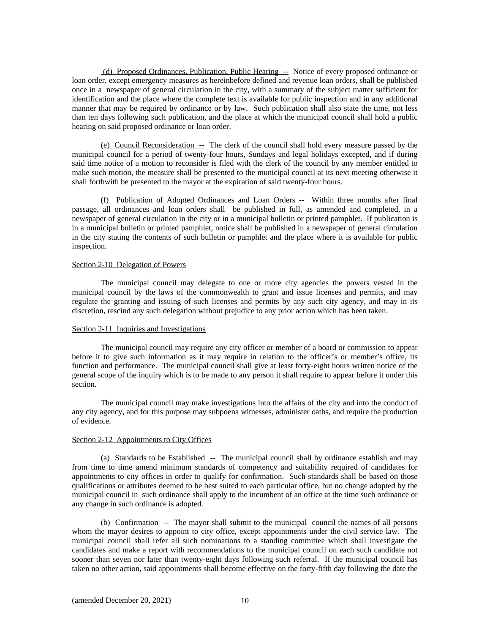(d) Proposed Ordinances, Publication, Public Hearing -- Notice of every proposed ordinance or loan order, except emergency measures as hereinbefore defined and revenue loan orders, shall be published once in a newspaper of general circulation in the city, with a summary of the subject matter sufficient for identification and the place where the complete text is available for public inspection and in any additional manner that may be required by ordinance or by law. Such publication shall also state the time, not less than ten days following such publication, and the place at which the municipal council shall hold a public hearing on said proposed ordinance or loan order.

(e) Council Reconsideration  $\overline{a}$  The clerk of the council shall hold every measure passed by the municipal council for a period of twenty-four hours, Sundays and legal holidays excepted, and if during said time notice of a motion to reconsider is filed with the clerk of the council by any member entitled to make such motion, the measure shall be presented to the municipal council at its next meeting otherwise it shall forthwith be presented to the mayor at the expiration of said twenty-four hours.

 (f) Publication of Adopted Ordinances and Loan Orders -- Within three months after final passage, all ordinances and loan orders shall be published in full, as amended and completed, in a newspaper of general circulation in the city or in a municipal bulletin or printed pamphlet. If publication is in a municipal bulletin or printed pamphlet, notice shall be published in a newspaper of general circulation in the city stating the contents of such bulletin or pamphlet and the place where it is available for public inspection.

## Section 2-10 Delegation of Powers

 The municipal council may delegate to one or more city agencies the powers vested in the municipal council by the laws of the commonwealth to grant and issue licenses and permits, and may regulate the granting and issuing of such licenses and permits by any such city agency, and may in its discretion, rescind any such delegation without prejudice to any prior action which has been taken.

## Section 2-11 Inquiries and Investigations

 The municipal council may require any city officer or member of a board or commission to appear before it to give such information as it may require in relation to the officer's or member's office, its function and performance. The municipal council shall give at least forty-eight hours written notice of the general scope of the inquiry which is to be made to any person it shall require to appear before it under this section.

 The municipal council may make investigations into the affairs of the city and into the conduct of any city agency, and for this purpose may subpoena witnesses, administer oaths, and require the production of evidence.

## Section 2-12 Appointments to City Offices

 (a) Standards to be Established -- The municipal council shall by ordinance establish and may from time to time amend minimum standards of competency and suitability required of candidates for appointments to city offices in order to qualify for confirmation. Such standards shall be based on those qualifications or attributes deemed to be best suited to each particular office, but no change adopted by the municipal council in such ordinance shall apply to the incumbent of an office at the time such ordinance or any change in such ordinance is adopted.

 (b) Confirmation -- The mayor shall submit to the municipal council the names of all persons whom the mayor desires to appoint to city office, except appointments under the civil service law. The municipal council shall refer all such nominations to a standing committee which shall investigate the candidates and make a report with recommendations to the municipal council on each such candidate not sooner than seven nor later than twenty-eight days following such referral. If the municipal council has taken no other action, said appointments shall become effective on the forty-fifth day following the date the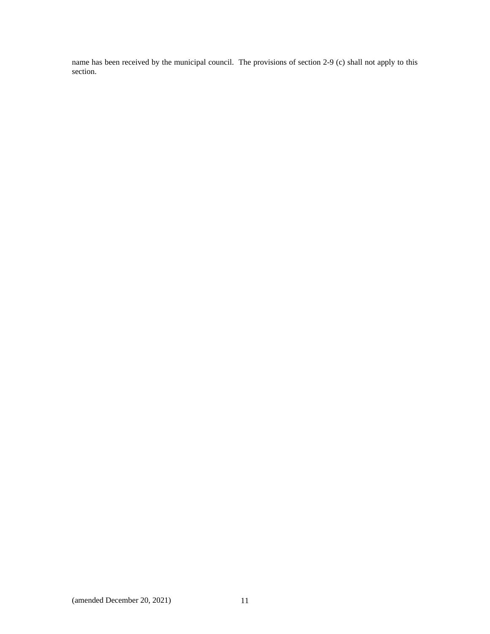name has been received by the municipal council. The provisions of section 2-9 (c) shall not apply to this section.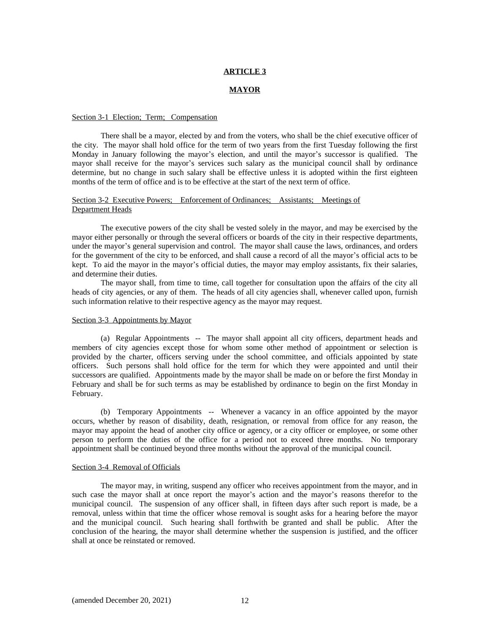#### **MAYOR**

#### Section 3-1 Election; Term; Compensation

 There shall be a mayor, elected by and from the voters, who shall be the chief executive officer of the city. The mayor shall hold office for the term of two years from the first Tuesday following the first Monday in January following the mayor's election, and until the mayor's successor is qualified. The mayor shall receive for the mayor's services such salary as the municipal council shall by ordinance determine, but no change in such salary shall be effective unless it is adopted within the first eighteen months of the term of office and is to be effective at the start of the next term of office.

## Section 3-2 Executive Powers; Enforcement of Ordinances; Assistants; Meetings of Department Heads

 The executive powers of the city shall be vested solely in the mayor, and may be exercised by the mayor either personally or through the several officers or boards of the city in their respective departments, under the mayor's general supervision and control. The mayor shall cause the laws, ordinances, and orders for the government of the city to be enforced, and shall cause a record of all the mayor's official acts to be kept. To aid the mayor in the mayor's official duties, the mayor may employ assistants, fix their salaries, and determine their duties.

 The mayor shall, from time to time, call together for consultation upon the affairs of the city all heads of city agencies, or any of them. The heads of all city agencies shall, whenever called upon, furnish such information relative to their respective agency as the mayor may request.

#### Section 3-3 Appointments by Mayor

 (a) Regular Appointments -- The mayor shall appoint all city officers, department heads and members of city agencies except those for whom some other method of appointment or selection is provided by the charter, officers serving under the school committee, and officials appointed by state officers. Such persons shall hold office for the term for which they were appointed and until their successors are qualified. Appointments made by the mayor shall be made on or before the first Monday in February and shall be for such terms as may be established by ordinance to begin on the first Monday in February.

 (b) Temporary Appointments -- Whenever a vacancy in an office appointed by the mayor occurs, whether by reason of disability, death, resignation, or removal from office for any reason, the mayor may appoint the head of another city office or agency, or a city officer or employee, or some other person to perform the duties of the office for a period not to exceed three months. No temporary appointment shall be continued beyond three months without the approval of the municipal council.

#### Section 3-4 Removal of Officials

 The mayor may, in writing, suspend any officer who receives appointment from the mayor, and in such case the mayor shall at once report the mayor's action and the mayor's reasons therefor to the municipal council. The suspension of any officer shall, in fifteen days after such report is made, be a removal, unless within that time the officer whose removal is sought asks for a hearing before the mayor and the municipal council. Such hearing shall forthwith be granted and shall be public. After the conclusion of the hearing, the mayor shall determine whether the suspension is justified, and the officer shall at once be reinstated or removed.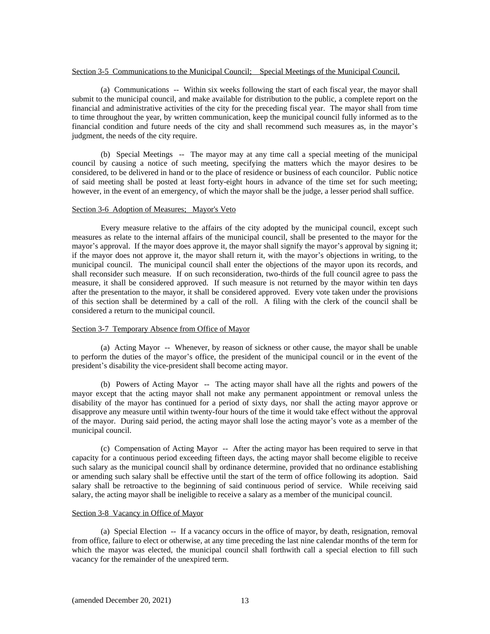## Section 3-5 Communications to the Municipal Council; Special Meetings of the Municipal Council.

 (a) Communications -- Within six weeks following the start of each fiscal year, the mayor shall submit to the municipal council, and make available for distribution to the public, a complete report on the financial and administrative activities of the city for the preceding fiscal year. The mayor shall from time to time throughout the year, by written communication, keep the municipal council fully informed as to the financial condition and future needs of the city and shall recommend such measures as, in the mayor's judgment, the needs of the city require.

 (b) Special Meetings -- The mayor may at any time call a special meeting of the municipal council by causing a notice of such meeting, specifying the matters which the mayor desires to be considered, to be delivered in hand or to the place of residence or business of each councilor. Public notice of said meeting shall be posted at least forty-eight hours in advance of the time set for such meeting; however, in the event of an emergency, of which the mayor shall be the judge, a lesser period shall suffice.

### Section 3-6 Adoption of Measures; Mayor's Veto

 Every measure relative to the affairs of the city adopted by the municipal council, except such measures as relate to the internal affairs of the municipal council, shall be presented to the mayor for the mayor's approval. If the mayor does approve it, the mayor shall signify the mayor's approval by signing it; if the mayor does not approve it, the mayor shall return it, with the mayor's objections in writing, to the municipal council. The municipal council shall enter the objections of the mayor upon its records, and shall reconsider such measure. If on such reconsideration, two-thirds of the full council agree to pass the measure, it shall be considered approved. If such measure is not returned by the mayor within ten days after the presentation to the mayor, it shall be considered approved. Every vote taken under the provisions of this section shall be determined by a call of the roll. A filing with the clerk of the council shall be considered a return to the municipal council.

## Section 3-7 Temporary Absence from Office of Mayor

 (a) Acting Mayor -- Whenever, by reason of sickness or other cause, the mayor shall be unable to perform the duties of the mayor's office, the president of the municipal council or in the event of the president's disability the vice-president shall become acting mayor.

 (b) Powers of Acting Mayor -- The acting mayor shall have all the rights and powers of the mayor except that the acting mayor shall not make any permanent appointment or removal unless the disability of the mayor has continued for a period of sixty days, nor shall the acting mayor approve or disapprove any measure until within twenty-four hours of the time it would take effect without the approval of the mayor. During said period, the acting mayor shall lose the acting mayor's vote as a member of the municipal council.

 (c) Compensation of Acting Mayor -- After the acting mayor has been required to serve in that capacity for a continuous period exceeding fifteen days, the acting mayor shall become eligible to receive such salary as the municipal council shall by ordinance determine, provided that no ordinance establishing or amending such salary shall be effective until the start of the term of office following its adoption. Said salary shall be retroactive to the beginning of said continuous period of service. While receiving said salary, the acting mayor shall be ineligible to receive a salary as a member of the municipal council.

## Section 3-8 Vacancy in Office of Mayor

 (a) Special Election -- If a vacancy occurs in the office of mayor, by death, resignation, removal from office, failure to elect or otherwise, at any time preceding the last nine calendar months of the term for which the mayor was elected, the municipal council shall forthwith call a special election to fill such vacancy for the remainder of the unexpired term.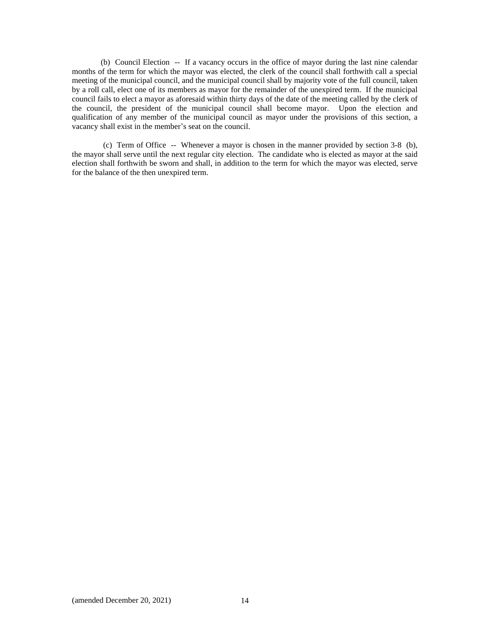(b) Council Election -- If a vacancy occurs in the office of mayor during the last nine calendar months of the term for which the mayor was elected, the clerk of the council shall forthwith call a special meeting of the municipal council, and the municipal council shall by majority vote of the full council, taken by a roll call, elect one of its members as mayor for the remainder of the unexpired term. If the municipal council fails to elect a mayor as aforesaid within thirty days of the date of the meeting called by the clerk of the council, the president of the municipal council shall become mayor. Upon the election and qualification of any member of the municipal council as mayor under the provisions of this section, a vacancy shall exist in the member's seat on the council.

 (c) Term of Office -- Whenever a mayor is chosen in the manner provided by section 3-8 (b), the mayor shall serve until the next regular city election. The candidate who is elected as mayor at the said election shall forthwith be sworn and shall, in addition to the term for which the mayor was elected, serve for the balance of the then unexpired term.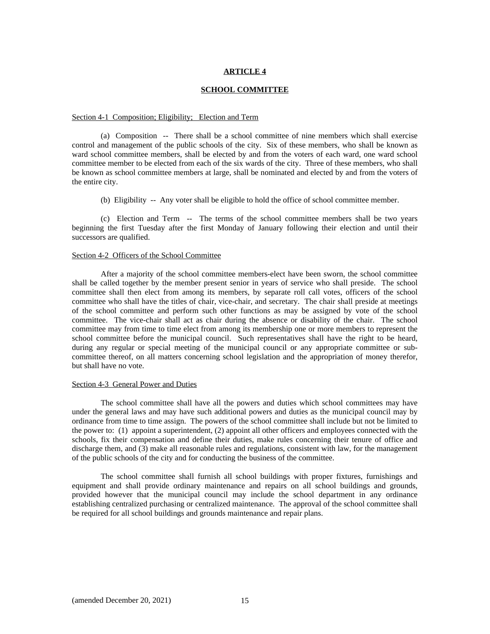#### **SCHOOL COMMITTEE**

#### Section 4-1 Composition; Eligibility; Election and Term

 (a) Composition -- There shall be a school committee of nine members which shall exercise control and management of the public schools of the city. Six of these members, who shall be known as ward school committee members, shall be elected by and from the voters of each ward, one ward school committee member to be elected from each of the six wards of the city. Three of these members, who shall be known as school committee members at large, shall be nominated and elected by and from the voters of the entire city.

(b) Eligibility -- Any voter shall be eligible to hold the office of school committee member.

 (c) Election and Term -- The terms of the school committee members shall be two years beginning the first Tuesday after the first Monday of January following their election and until their successors are qualified.

## Section 4-2 Officers of the School Committee

 After a majority of the school committee members-elect have been sworn, the school committee shall be called together by the member present senior in years of service who shall preside. The school committee shall then elect from among its members, by separate roll call votes, officers of the school committee who shall have the titles of chair, vice-chair, and secretary. The chair shall preside at meetings of the school committee and perform such other functions as may be assigned by vote of the school committee. The vice-chair shall act as chair during the absence or disability of the chair. The school committee may from time to time elect from among its membership one or more members to represent the school committee before the municipal council. Such representatives shall have the right to be heard, during any regular or special meeting of the municipal council or any appropriate committee or subcommittee thereof, on all matters concerning school legislation and the appropriation of money therefor, but shall have no vote.

#### Section 4-3 General Power and Duties

 The school committee shall have all the powers and duties which school committees may have under the general laws and may have such additional powers and duties as the municipal council may by ordinance from time to time assign. The powers of the school committee shall include but not be limited to the power to: (1) appoint a superintendent, (2) appoint all other officers and employees connected with the schools, fix their compensation and define their duties, make rules concerning their tenure of office and discharge them, and (3) make all reasonable rules and regulations, consistent with law, for the management of the public schools of the city and for conducting the business of the committee.

 The school committee shall furnish all school buildings with proper fixtures, furnishings and equipment and shall provide ordinary maintenance and repairs on all school buildings and grounds, provided however that the municipal council may include the school department in any ordinance establishing centralized purchasing or centralized maintenance. The approval of the school committee shall be required for all school buildings and grounds maintenance and repair plans.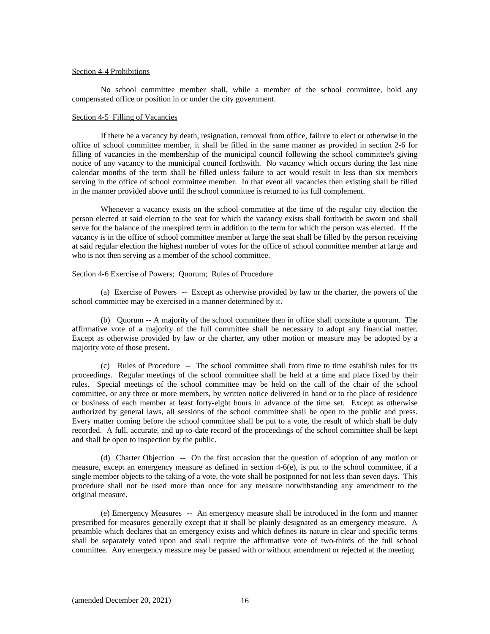## Section 4-4 Prohibitions

 No school committee member shall, while a member of the school committee, hold any compensated office or position in or under the city government.

#### Section 4-5 Filling of Vacancies

 If there be a vacancy by death, resignation, removal from office, failure to elect or otherwise in the office of school committee member, it shall be filled in the same manner as provided in section 2-6 for filling of vacancies in the membership of the municipal council following the school committee's giving notice of any vacancy to the municipal council forthwith. No vacancy which occurs during the last nine calendar months of the term shall be filled unless failure to act would result in less than six members serving in the office of school committee member. In that event all vacancies then existing shall be filled in the manner provided above until the school committee is returned to its full complement.

 Whenever a vacancy exists on the school committee at the time of the regular city election the person elected at said election to the seat for which the vacancy exists shall forthwith be sworn and shall serve for the balance of the unexpired term in addition to the term for which the person was elected. If the vacancy is in the office of school committee member at large the seat shall be filled by the person receiving at said regular election the highest number of votes for the office of school committee member at large and who is not then serving as a member of the school committee.

## Section 4-6 Exercise of Powers; Quorum; Rules of Procedure

 (a) Exercise of Powers -- Except as otherwise provided by law or the charter, the powers of the school committee may be exercised in a manner determined by it.

 (b) Quorum -- A majority of the school committee then in office shall constitute a quorum. The affirmative vote of a majority of the full committee shall be necessary to adopt any financial matter. Except as otherwise provided by law or the charter, any other motion or measure may be adopted by a majority vote of those present.

 (c) Rules of Procedure -- The school committee shall from time to time establish rules for its proceedings. Regular meetings of the school committee shall be held at a time and place fixed by their rules. Special meetings of the school committee may be held on the call of the chair of the school committee, or any three or more members, by written notice delivered in hand or to the place of residence or business of each member at least forty-eight hours in advance of the time set. Except as otherwise authorized by general laws, all sessions of the school committee shall be open to the public and press. Every matter coming before the school committee shall be put to a vote, the result of which shall be duly recorded. A full, accurate, and up-to-date record of the proceedings of the school committee shall be kept and shall be open to inspection by the public.

(d) Charter Objection -- On the first occasion that the question of adoption of any motion or measure, except an emergency measure as defined in section 4-6(e), is put to the school committee, if a single member objects to the taking of a vote, the vote shall be postponed for not less than seven days. This procedure shall not be used more than once for any measure notwithstanding any amendment to the original measure.

(e) Emergency Measures -- An emergency measure shall be introduced in the form and manner prescribed for measures generally except that it shall be plainly designated as an emergency measure. A preamble which declares that an emergency exists and which defines its nature in clear and specific terms shall be separately voted upon and shall require the affirmative vote of two-thirds of the full school committee. Any emergency measure may be passed with or without amendment or rejected at the meeting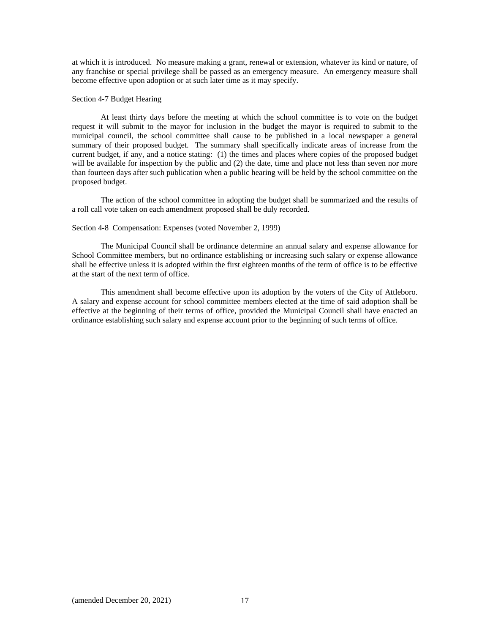at which it is introduced. No measure making a grant, renewal or extension, whatever its kind or nature, of any franchise or special privilege shall be passed as an emergency measure. An emergency measure shall become effective upon adoption or at such later time as it may specify.

## Section 4-7 Budget Hearing

 At least thirty days before the meeting at which the school committee is to vote on the budget request it will submit to the mayor for inclusion in the budget the mayor is required to submit to the municipal council, the school committee shall cause to be published in a local newspaper a general summary of their proposed budget. The summary shall specifically indicate areas of increase from the current budget, if any, and a notice stating: (1) the times and places where copies of the proposed budget will be available for inspection by the public and (2) the date, time and place not less than seven nor more than fourteen days after such publication when a public hearing will be held by the school committee on the proposed budget.

The action of the school committee in adopting the budget shall be summarized and the results of a roll call vote taken on each amendment proposed shall be duly recorded.

#### Section 4-8 Compensation: Expenses (voted November 2, 1999)

The Municipal Council shall be ordinance determine an annual salary and expense allowance for School Committee members, but no ordinance establishing or increasing such salary or expense allowance shall be effective unless it is adopted within the first eighteen months of the term of office is to be effective at the start of the next term of office.

This amendment shall become effective upon its adoption by the voters of the City of Attleboro. A salary and expense account for school committee members elected at the time of said adoption shall be effective at the beginning of their terms of office, provided the Municipal Council shall have enacted an ordinance establishing such salary and expense account prior to the beginning of such terms of office.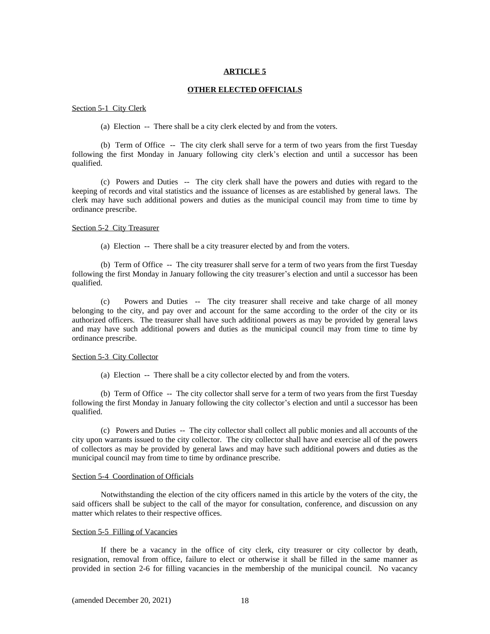#### **OTHER ELECTED OFFICIALS**

#### Section 5-1 City Clerk

(a) Election -- There shall be a city clerk elected by and from the voters.

 (b) Term of Office -- The city clerk shall serve for a term of two years from the first Tuesday following the first Monday in January following city clerk's election and until a successor has been qualified.

 (c) Powers and Duties -- The city clerk shall have the powers and duties with regard to the keeping of records and vital statistics and the issuance of licenses as are established by general laws. The clerk may have such additional powers and duties as the municipal council may from time to time by ordinance prescribe.

#### Section 5-2 City Treasurer

(a) Election -- There shall be a city treasurer elected by and from the voters.

 (b) Term of Office -- The city treasurer shall serve for a term of two years from the first Tuesday following the first Monday in January following the city treasurer's election and until a successor has been qualified.

 (c) Powers and Duties -- The city treasurer shall receive and take charge of all money belonging to the city, and pay over and account for the same according to the order of the city or its authorized officers. The treasurer shall have such additional powers as may be provided by general laws and may have such additional powers and duties as the municipal council may from time to time by ordinance prescribe.

#### Section 5-3 City Collector

(a) Election -- There shall be a city collector elected by and from the voters.

 (b) Term of Office -- The city collector shall serve for a term of two years from the first Tuesday following the first Monday in January following the city collector's election and until a successor has been qualified.

 (c) Powers and Duties -- The city collector shall collect all public monies and all accounts of the city upon warrants issued to the city collector. The city collector shall have and exercise all of the powers of collectors as may be provided by general laws and may have such additional powers and duties as the municipal council may from time to time by ordinance prescribe.

## Section 5-4 Coordination of Officials

 Notwithstanding the election of the city officers named in this article by the voters of the city, the said officers shall be subject to the call of the mayor for consultation, conference, and discussion on any matter which relates to their respective offices.

#### Section 5-5 Filling of Vacancies

 If there be a vacancy in the office of city clerk, city treasurer or city collector by death, resignation, removal from office, failure to elect or otherwise it shall be filled in the same manner as provided in section 2-6 for filling vacancies in the membership of the municipal council. No vacancy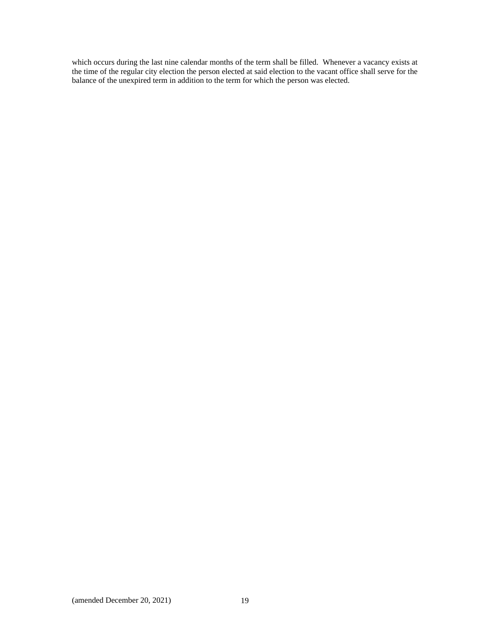which occurs during the last nine calendar months of the term shall be filled. Whenever a vacancy exists at the time of the regular city election the person elected at said election to the vacant office shall serve for the balance of the unexpired term in addition to the term for which the person was elected.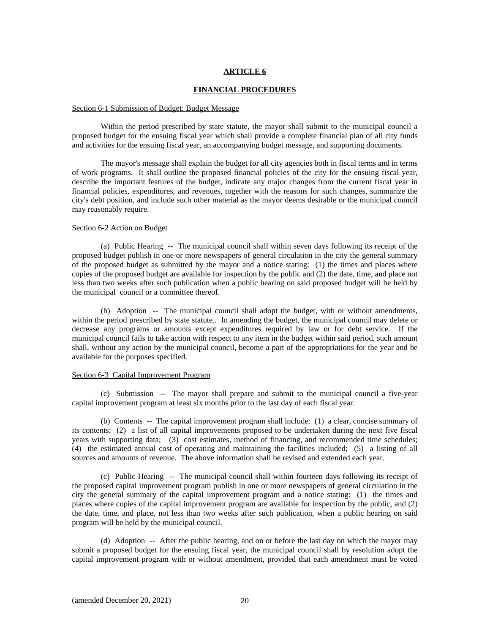#### **FINANCIAL PROCEDURES**

#### Section 6-1 Submission of Budget; Budget Message

 Within the period prescribed by state statute, the mayor shall submit to the municipal council a proposed budget for the ensuing fiscal year which shall provide a complete financial plan of all city funds and activities for the ensuing fiscal year, an accompanying budget message, and supporting documents.

 The mayor's message shall explain the budget for all city agencies both in fiscal terms and in terms of work programs. It shall outline the proposed financial policies of the city for the ensuing fiscal year, describe the important features of the budget, indicate any major changes from the current fiscal year in financial policies, expenditures, and revenues, together with the reasons for such changes, summarize the city's debt position, and include such other material as the mayor deems desirable or the municipal council may reasonably require.

#### Section 6-2 Action on Budget

 (a) Public Hearing -- The municipal council shall within seven days following its receipt of the proposed budget publish in one or more newspapers of general circulation in the city the general summary of the proposed budget as submitted by the mayor and a notice stating: (1) the times and places where copies of the proposed budget are available for inspection by the public and (2) the date, time, and place not less than two weeks after such publication when a public hearing on said proposed budget will be held by the municipal council or a committee thereof.

 (b) Adoption -- The municipal council shall adopt the budget, with or without amendments, within the period prescribed by state statute.. In amending the budget, the municipal council may delete or decrease any programs or amounts except expenditures required by law or for debt service. If the municipal council fails to take action with respect to any item in the budget within said period, such amount shall, without any action by the municipal council, become a part of the appropriations for the year and be available for the purposes specified.

## Section 6-3 Capital Improvement Program

 (c) Submission -- The mayor shall prepare and submit to the municipal council a five-year capital improvement program at least six months prior to the last day of each fiscal year.

 (b) Contents -- The capital improvement program shall include: (1) a clear, concise summary of its contents; (2) a list of all capital improvements proposed to be undertaken during the next five fiscal years with supporting data; (3) cost estimates, method of financing, and recommended time schedules; (4) the estimated annual cost of operating and maintaining the facilities included; (5) a listing of all sources and amounts of revenue. The above information shall be revised and extended each year.

 (c) Public Hearing -- The municipal council shall within fourteen days following its receipt of the proposed capital improvement program publish in one or more newspapers of general circulation in the city the general summary of the capital improvement program and a notice stating: (1) the times and places where copies of the capital improvement program are available for inspection by the public, and (2) the date, time, and place, not less than two weeks after such publication, when a public hearing on said program will be held by the municipal council.

 (d) Adoption -- After the public hearing, and on or before the last day on which the mayor may submit a proposed budget for the ensuing fiscal year, the municipal council shall by resolution adopt the capital improvement program with or without amendment, provided that each amendment must be voted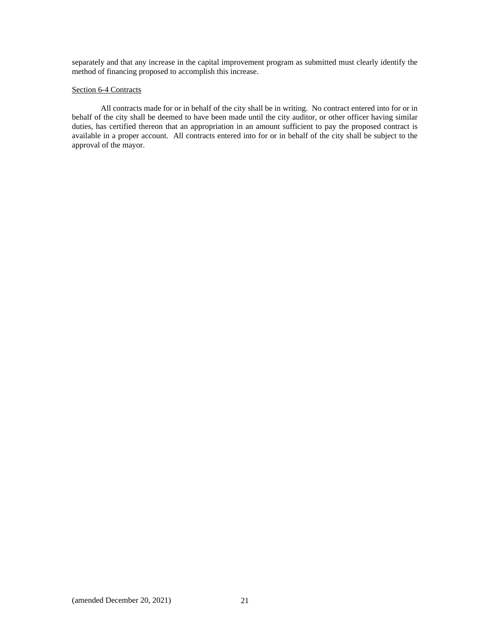separately and that any increase in the capital improvement program as submitted must clearly identify the method of financing proposed to accomplish this increase.

## Section **6-4 Contracts**

 All contracts made for or in behalf of the city shall be in writing. No contract entered into for or in behalf of the city shall be deemed to have been made until the city auditor, or other officer having similar duties, has certified thereon that an appropriation in an amount sufficient to pay the proposed contract is available in a proper account. All contracts entered into for or in behalf of the city shall be subject to the approval of the mayor.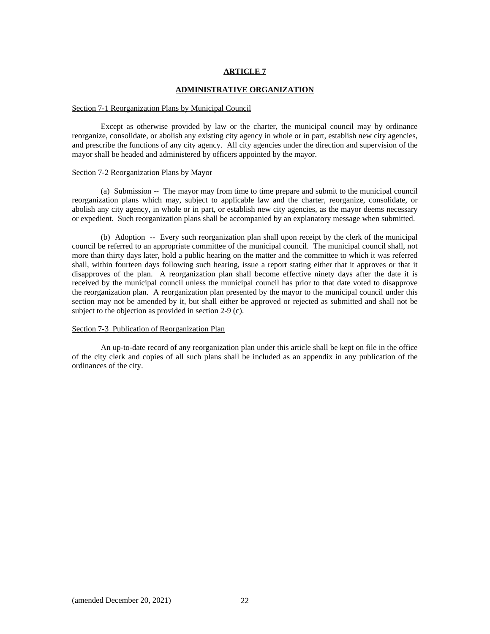#### **ADMINISTRATIVE ORGANIZATION**

#### Section 7-1 Reorganization Plans by Municipal Council

 Except as otherwise provided by law or the charter, the municipal council may by ordinance reorganize, consolidate, or abolish any existing city agency in whole or in part, establish new city agencies, and prescribe the functions of any city agency. All city agencies under the direction and supervision of the mayor shall be headed and administered by officers appointed by the mayor.

#### Section 7-2 Reorganization Plans by Mayor

 (a) Submission -- The mayor may from time to time prepare and submit to the municipal council reorganization plans which may, subject to applicable law and the charter, reorganize, consolidate, or abolish any city agency, in whole or in part, or establish new city agencies, as the mayor deems necessary or expedient. Such reorganization plans shall be accompanied by an explanatory message when submitted.

 (b) Adoption -- Every such reorganization plan shall upon receipt by the clerk of the municipal council be referred to an appropriate committee of the municipal council. The municipal council shall, not more than thirty days later, hold a public hearing on the matter and the committee to which it was referred shall, within fourteen days following such hearing, issue a report stating either that it approves or that it disapproves of the plan. A reorganization plan shall become effective ninety days after the date it is received by the municipal council unless the municipal council has prior to that date voted to disapprove the reorganization plan. A reorganization plan presented by the mayor to the municipal council under this section may not be amended by it, but shall either be approved or rejected as submitted and shall not be subject to the objection as provided in section 2-9 (c).

## Section 7-3 Publication of Reorganization Plan

 An up-to-date record of any reorganization plan under this article shall be kept on file in the office of the city clerk and copies of all such plans shall be included as an appendix in any publication of the ordinances of the city.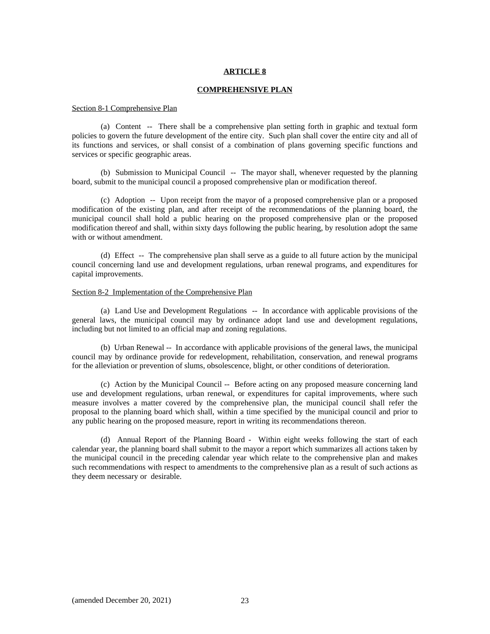#### **COMPREHENSIVE PLAN**

#### Section 8-1 Comprehensive Plan

 (a) Content -- There shall be a comprehensive plan setting forth in graphic and textual form policies to govern the future development of the entire city. Such plan shall cover the entire city and all of its functions and services, or shall consist of a combination of plans governing specific functions and services or specific geographic areas.

 (b) Submission to Municipal Council -- The mayor shall, whenever requested by the planning board, submit to the municipal council a proposed comprehensive plan or modification thereof.

 (c) Adoption -- Upon receipt from the mayor of a proposed comprehensive plan or a proposed modification of the existing plan, and after receipt of the recommendations of the planning board, the municipal council shall hold a public hearing on the proposed comprehensive plan or the proposed modification thereof and shall, within sixty days following the public hearing, by resolution adopt the same with or without amendment.

 (d) Effect -- The comprehensive plan shall serve as a guide to all future action by the municipal council concerning land use and development regulations, urban renewal programs, and expenditures for capital improvements.

## Section 8-2 Implementation of the Comprehensive Plan

 (a) Land Use and Development Regulations -- In accordance with applicable provisions of the general laws, the municipal council may by ordinance adopt land use and development regulations, including but not limited to an official map and zoning regulations.

 (b) Urban Renewal -- In accordance with applicable provisions of the general laws, the municipal council may by ordinance provide for redevelopment, rehabilitation, conservation, and renewal programs for the alleviation or prevention of slums, obsolescence, blight, or other conditions of deterioration.

 (c) Action by the Municipal Council -- Before acting on any proposed measure concerning land use and development regulations, urban renewal, or expenditures for capital improvements, where such measure involves a matter covered by the comprehensive plan, the municipal council shall refer the proposal to the planning board which shall, within a time specified by the municipal council and prior to any public hearing on the proposed measure, report in writing its recommendations thereon.

 (d) Annual Report of the Planning Board - Within eight weeks following the start of each calendar year, the planning board shall submit to the mayor a report which summarizes all actions taken by the municipal council in the preceding calendar year which relate to the comprehensive plan and makes such recommendations with respect to amendments to the comprehensive plan as a result of such actions as they deem necessary or desirable.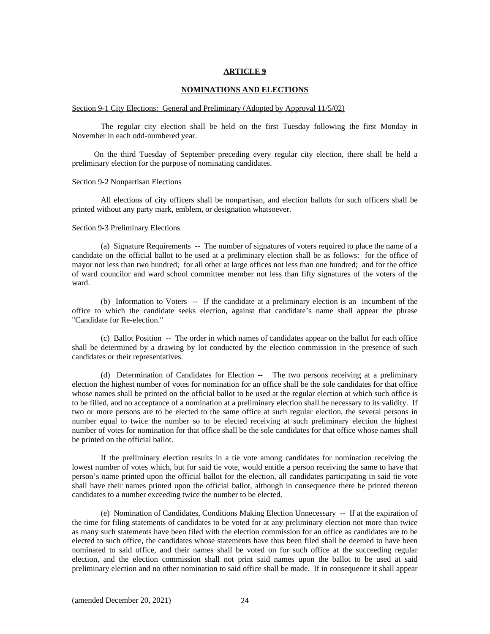#### **NOMINATIONS AND ELECTIONS**

#### Section 9-1 City Elections: General and Preliminary (Adopted by Approval 11/5/02)

 The regular city election shall be held on the first Tuesday following the first Monday in November in each odd-numbered year.

On the third Tuesday of September preceding every regular city election, there shall be held a preliminary election for the purpose of nominating candidates.

## Section 9-2 Nonpartisan Elections

 All elections of city officers shall be nonpartisan, and election ballots for such officers shall be printed without any party mark, emblem, or designation whatsoever.

#### Section 9-3 Preliminary Elections

(a) Signature Requirements -- The number of signatures of voters required to place the name of a candidate on the official ballot to be used at a preliminary election shall be as follows: for the office of mayor not less than two hundred; for all other at large offices not less than one hundred; and for the office of ward councilor and ward school committee member not less than fifty signatures of the voters of the ward.

(b) Information to Voters -- If the candidate at a preliminary election is an incumbent of the office to which the candidate seeks election, against that candidate's name shall appear the phrase "Candidate for Re-election."

(c) Ballot Position -- The order in which names of candidates appear on the ballot for each office shall be determined by a drawing by lot conducted by the election commission in the presence of such candidates or their representatives.

(d) Determination of Candidates for Election -- The two persons receiving at a preliminary election the highest number of votes for nomination for an office shall be the sole candidates for that office whose names shall be printed on the official ballot to be used at the regular election at which such office is to be filled, and no acceptance of a nomination at a preliminary election shall be necessary to its validity. If two or more persons are to be elected to the same office at such regular election, the several persons in number equal to twice the number so to be elected receiving at such preliminary election the highest number of votes for nomination for that office shall be the sole candidates for that office whose names shall be printed on the official ballot.

If the preliminary election results in a tie vote among candidates for nomination receiving the lowest number of votes which, but for said tie vote, would entitle a person receiving the same to have that person's name printed upon the official ballot for the election, all candidates participating in said tie vote shall have their names printed upon the official ballot, although in consequence there be printed thereon candidates to a number exceeding twice the number to be elected.

(e) Nomination of Candidates, Conditions Making Election Unnecessary -- If at the expiration of the time for filing statements of candidates to be voted for at any preliminary election not more than twice as many such statements have been filed with the election commission for an office as candidates are to be elected to such office, the candidates whose statements have thus been filed shall be deemed to have been nominated to said office, and their names shall be voted on for such office at the succeeding regular election, and the election commission shall not print said names upon the ballot to be used at said preliminary election and no other nomination to said office shall be made. If in consequence it shall appear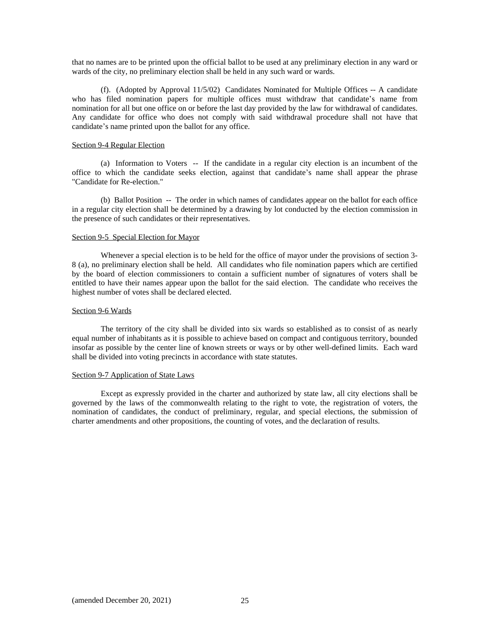that no names are to be printed upon the official ballot to be used at any preliminary election in any ward or wards of the city, no preliminary election shall be held in any such ward or wards.

(f). (Adopted by Approval 11/5/02) Candidates Nominated for Multiple Offices -- A candidate who has filed nomination papers for multiple offices must withdraw that candidate's name from nomination for all but one office on or before the last day provided by the law for withdrawal of candidates. Any candidate for office who does not comply with said withdrawal procedure shall not have that candidate's name printed upon the ballot for any office.

## Section 9-4 Regular Election

(a) Information to Voters -- If the candidate in a regular city election is an incumbent of the office to which the candidate seeks election, against that candidate's name shall appear the phrase "Candidate for Re-election."

(b) Ballot Position -- The order in which names of candidates appear on the ballot for each office in a regular city election shall be determined by a drawing by lot conducted by the election commission in the presence of such candidates or their representatives.

## Section 9-5 Special Election for Mayor

Whenever a special election is to be held for the office of mayor under the provisions of section 3- 8 (a), no preliminary election shall be held. All candidates who file nomination papers which are certified by the board of election commissioners to contain a sufficient number of signatures of voters shall be entitled to have their names appear upon the ballot for the said election. The candidate who receives the highest number of votes shall be declared elected.

#### Section 9-6 Wards

The territory of the city shall be divided into six wards so established as to consist of as nearly equal number of inhabitants as it is possible to achieve based on compact and contiguous territory, bounded insofar as possible by the center line of known streets or ways or by other well-defined limits. Each ward shall be divided into voting precincts in accordance with state statutes.

## Section 9-7 Application of State Laws

Except as expressly provided in the charter and authorized by state law, all city elections shall be governed by the laws of the commonwealth relating to the right to vote, the registration of voters, the nomination of candidates, the conduct of preliminary, regular, and special elections, the submission of charter amendments and other propositions, the counting of votes, and the declaration of results.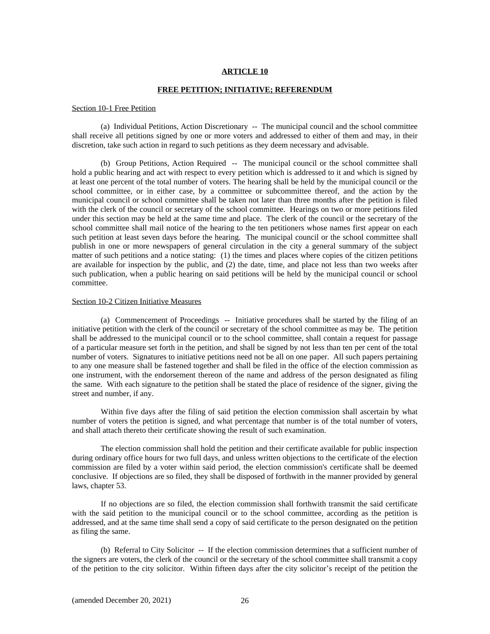#### **FREE PETITION; INITIATIVE; REFERENDUM**

#### Section 10-1 Free Petition

(a) Individual Petitions, Action Discretionary -- The municipal council and the school committee shall receive all petitions signed by one or more voters and addressed to either of them and may, in their discretion, take such action in regard to such petitions as they deem necessary and advisable.

(b) Group Petitions, Action Required -- The municipal council or the school committee shall hold a public hearing and act with respect to every petition which is addressed to it and which is signed by at least one percent of the total number of voters. The hearing shall be held by the municipal council or the school committee, or in either case, by a committee or subcommittee thereof, and the action by the municipal council or school committee shall be taken not later than three months after the petition is filed with the clerk of the council or secretary of the school committee. Hearings on two or more petitions filed under this section may be held at the same time and place. The clerk of the council or the secretary of the school committee shall mail notice of the hearing to the ten petitioners whose names first appear on each such petition at least seven days before the hearing. The municipal council or the school committee shall publish in one or more newspapers of general circulation in the city a general summary of the subject matter of such petitions and a notice stating: (1) the times and places where copies of the citizen petitions are available for inspection by the public, and (2) the date, time, and place not less than two weeks after such publication, when a public hearing on said petitions will be held by the municipal council or school committee.

#### Section 10-2 Citizen Initiative Measures

(a) Commencement of Proceedings -- Initiative procedures shall be started by the filing of an initiative petition with the clerk of the council or secretary of the school committee as may be. The petition shall be addressed to the municipal council or to the school committee, shall contain a request for passage of a particular measure set forth in the petition, and shall be signed by not less than ten per cent of the total number of voters. Signatures to initiative petitions need not be all on one paper. All such papers pertaining to any one measure shall be fastened together and shall be filed in the office of the election commission as one instrument, with the endorsement thereon of the name and address of the person designated as filing the same. With each signature to the petition shall be stated the place of residence of the signer, giving the street and number, if any.

Within five days after the filing of said petition the election commission shall ascertain by what number of voters the petition is signed, and what percentage that number is of the total number of voters, and shall attach thereto their certificate showing the result of such examination.

The election commission shall hold the petition and their certificate available for public inspection during ordinary office hours for two full days, and unless written objections to the certificate of the election commission are filed by a voter within said period, the election commission's certificate shall be deemed conclusive. If objections are so filed, they shall be disposed of forthwith in the manner provided by general laws, chapter 53.

If no objections are so filed, the election commission shall forthwith transmit the said certificate with the said petition to the municipal council or to the school committee, according as the petition is addressed, and at the same time shall send a copy of said certificate to the person designated on the petition as filing the same.

(b) Referral to City Solicitor -- If the election commission determines that a sufficient number of the signers are voters, the clerk of the council or the secretary of the school committee shall transmit a copy of the petition to the city solicitor. Within fifteen days after the city solicitor's receipt of the petition the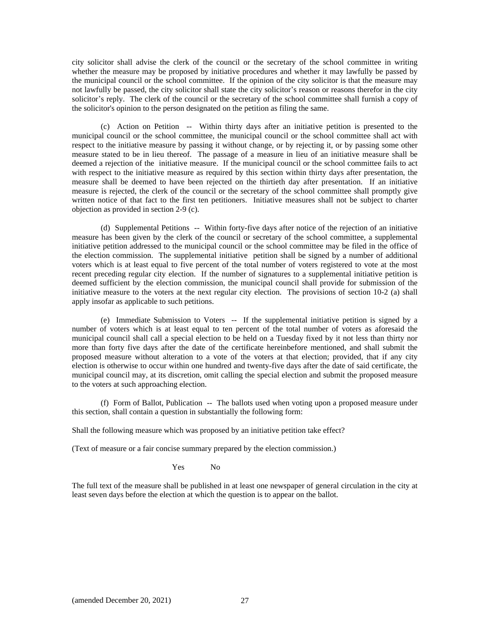city solicitor shall advise the clerk of the council or the secretary of the school committee in writing whether the measure may be proposed by initiative procedures and whether it may lawfully be passed by the municipal council or the school committee. If the opinion of the city solicitor is that the measure may not lawfully be passed, the city solicitor shall state the city solicitor's reason or reasons therefor in the city solicitor's reply. The clerk of the council or the secretary of the school committee shall furnish a copy of the solicitor's opinion to the person designated on the petition as filing the same.

(c) Action on Petition -- Within thirty days after an initiative petition is presented to the municipal council or the school committee, the municipal council or the school committee shall act with respect to the initiative measure by passing it without change, or by rejecting it, or by passing some other measure stated to be in lieu thereof. The passage of a measure in lieu of an initiative measure shall be deemed a rejection of the initiative measure. If the municipal council or the school committee fails to act with respect to the initiative measure as required by this section within thirty days after presentation, the measure shall be deemed to have been rejected on the thirtieth day after presentation. If an initiative measure is rejected, the clerk of the council or the secretary of the school committee shall promptly give written notice of that fact to the first ten petitioners. Initiative measures shall not be subject to charter objection as provided in section 2-9 (c).

(d) Supplemental Petitions -- Within forty-five days after notice of the rejection of an initiative measure has been given by the clerk of the council or secretary of the school committee, a supplemental initiative petition addressed to the municipal council or the school committee may be filed in the office of the election commission. The supplemental initiative petition shall be signed by a number of additional voters which is at least equal to five percent of the total number of voters registered to vote at the most recent preceding regular city election. If the number of signatures to a supplemental initiative petition is deemed sufficient by the election commission, the municipal council shall provide for submission of the initiative measure to the voters at the next regular city election. The provisions of section 10-2 (a) shall apply insofar as applicable to such petitions.

(e) Immediate Submission to Voters -- If the supplemental initiative petition is signed by a number of voters which is at least equal to ten percent of the total number of voters as aforesaid the municipal council shall call a special election to be held on a Tuesday fixed by it not less than thirty nor more than forty five days after the date of the certificate hereinbefore mentioned, and shall submit the proposed measure without alteration to a vote of the voters at that election; provided, that if any city election is otherwise to occur within one hundred and twenty-five days after the date of said certificate, the municipal council may, at its discretion, omit calling the special election and submit the proposed measure to the voters at such approaching election.

(f) Form of Ballot, Publication -- The ballots used when voting upon a proposed measure under this section, shall contain a question in substantially the following form:

Shall the following measure which was proposed by an initiative petition take effect?

(Text of measure or a fair concise summary prepared by the election commission.)

Yes No

The full text of the measure shall be published in at least one newspaper of general circulation in the city at least seven days before the election at which the question is to appear on the ballot.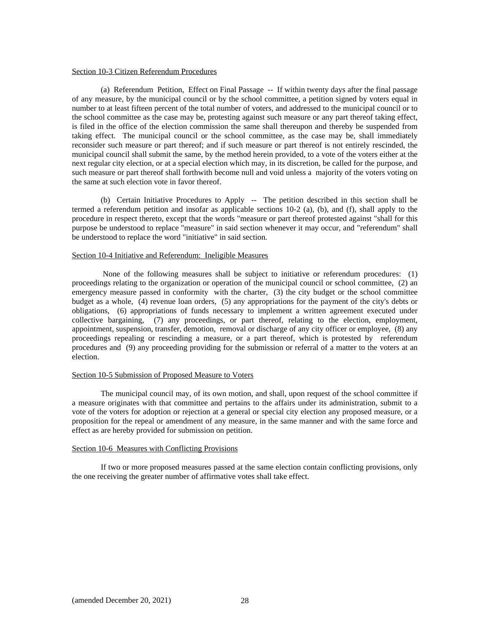#### Section 10-3 Citizen Referendum Procedures

(a) Referendum Petition, Effect on Final Passage -- If within twenty days after the final passage of any measure, by the municipal council or by the school committee, a petition signed by voters equal in number to at least fifteen percent of the total number of voters, and addressed to the municipal council or to the school committee as the case may be, protesting against such measure or any part thereof taking effect, is filed in the office of the election commission the same shall thereupon and thereby be suspended from taking effect. The municipal council or the school committee, as the case may be, shall immediately reconsider such measure or part thereof; and if such measure or part thereof is not entirely rescinded, the municipal council shall submit the same, by the method herein provided, to a vote of the voters either at the next regular city election, or at a special election which may, in its discretion, be called for the purpose, and such measure or part thereof shall forthwith become null and void unless a majority of the voters voting on the same at such election vote in favor thereof.

(b) Certain Initiative Procedures to Apply -- The petition described in this section shall be termed a referendum petition and insofar as applicable sections 10-2 (a), (b), and (f), shall apply to the procedure in respect thereto, except that the words "measure or part thereof protested against "shall for this purpose be understood to replace "measure" in said section whenever it may occur, and "referendum" shall be understood to replace the word "initiative" in said section.

## Section 10-4 Initiative and Referendum: Ineligible Measures

None of the following measures shall be subject to initiative or referendum procedures: (1) proceedings relating to the organization or operation of the municipal council or school committee, (2) an emergency measure passed in conformity with the charter, (3) the city budget or the school committee budget as a whole, (4) revenue loan orders, (5) any appropriations for the payment of the city's debts or obligations, (6) appropriations of funds necessary to implement a written agreement executed under collective bargaining, (7) any proceedings, or part thereof, relating to the election, employment, appointment, suspension, transfer, demotion, removal or discharge of any city officer or employee, (8) any proceedings repealing or rescinding a measure, or a part thereof, which is protested by referendum procedures and (9) any proceeding providing for the submission or referral of a matter to the voters at an election.

## Section 10-5 Submission of Proposed Measure to Voters

The municipal council may, of its own motion, and shall, upon request of the school committee if a measure originates with that committee and pertains to the affairs under its administration, submit to a vote of the voters for adoption or rejection at a general or special city election any proposed measure, or a proposition for the repeal or amendment of any measure, in the same manner and with the same force and effect as are hereby provided for submission on petition.

## Section 10-6 Measures with Conflicting Provisions

If two or more proposed measures passed at the same election contain conflicting provisions, only the one receiving the greater number of affirmative votes shall take effect.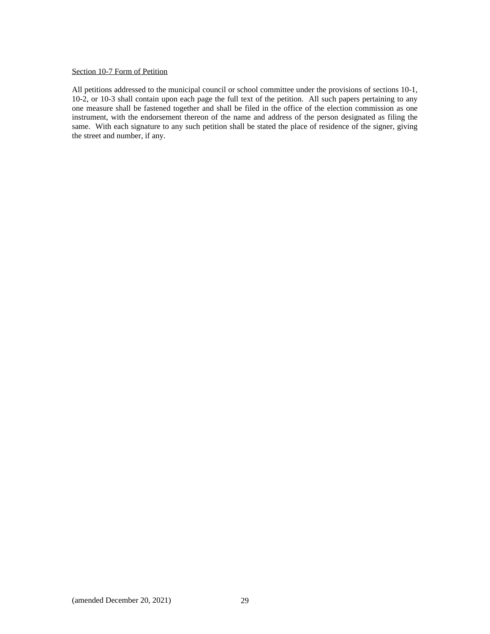## Section 10-7 Form of Petition

All petitions addressed to the municipal council or school committee under the provisions of sections 10-1, 10-2, or 10-3 shall contain upon each page the full text of the petition. All such papers pertaining to any one measure shall be fastened together and shall be filed in the office of the election commission as one instrument, with the endorsement thereon of the name and address of the person designated as filing the same. With each signature to any such petition shall be stated the place of residence of the signer, giving the street and number, if any.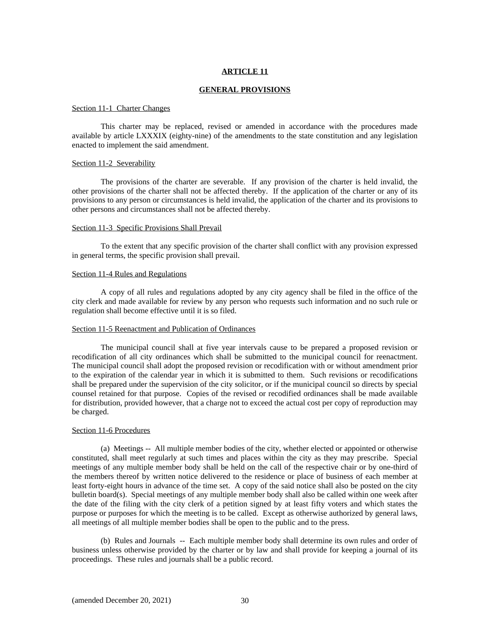#### **GENERAL PROVISIONS**

#### Section 11-1 Charter Changes

This charter may be replaced, revised or amended in accordance with the procedures made available by article LXXXIX (eighty-nine) of the amendments to the state constitution and any legislation enacted to implement the said amendment.

#### Section 11-2 Severability

The provisions of the charter are severable. If any provision of the charter is held invalid, the other provisions of the charter shall not be affected thereby. If the application of the charter or any of its provisions to any person or circumstances is held invalid, the application of the charter and its provisions to other persons and circumstances shall not be affected thereby.

#### Section 11-3 Specific Provisions Shall Prevail

To the extent that any specific provision of the charter shall conflict with any provision expressed in general terms, the specific provision shall prevail.

#### Section 11-4 Rules and Regulations

A copy of all rules and regulations adopted by any city agency shall be filed in the office of the city clerk and made available for review by any person who requests such information and no such rule or regulation shall become effective until it is so filed.

#### Section 11-5 Reenactment and Publication of Ordinances

The municipal council shall at five year intervals cause to be prepared a proposed revision or recodification of all city ordinances which shall be submitted to the municipal council for reenactment. The municipal council shall adopt the proposed revision or recodification with or without amendment prior to the expiration of the calendar year in which it is submitted to them. Such revisions or recodifications shall be prepared under the supervision of the city solicitor, or if the municipal council so directs by special counsel retained for that purpose. Copies of the revised or recodified ordinances shall be made available for distribution, provided however, that a charge not to exceed the actual cost per copy of reproduction may be charged.

#### Section 11-6 Procedures

(a) Meetings -- All multiple member bodies of the city, whether elected or appointed or otherwise constituted, shall meet regularly at such times and places within the city as they may prescribe. Special meetings of any multiple member body shall be held on the call of the respective chair or by one-third of the members thereof by written notice delivered to the residence or place of business of each member at least forty-eight hours in advance of the time set. A copy of the said notice shall also be posted on the city bulletin board(s). Special meetings of any multiple member body shall also be called within one week after the date of the filing with the city clerk of a petition signed by at least fifty voters and which states the purpose or purposes for which the meeting is to be called. Except as otherwise authorized by general laws, all meetings of all multiple member bodies shall be open to the public and to the press.

(b) Rules and Journals -- Each multiple member body shall determine its own rules and order of business unless otherwise provided by the charter or by law and shall provide for keeping a journal of its proceedings. These rules and journals shall be a public record.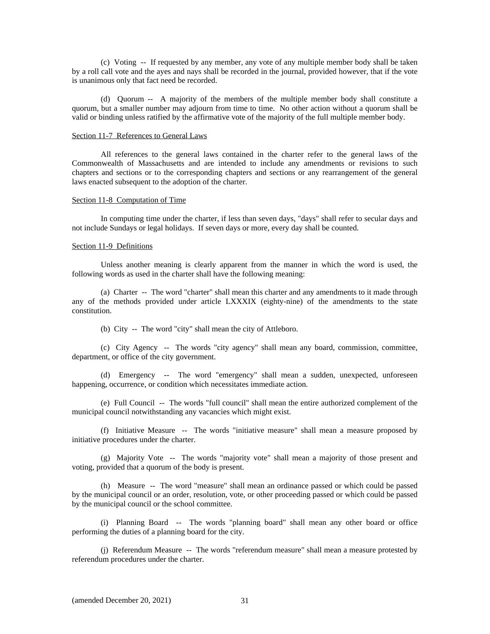(c) Voting -- If requested by any member, any vote of any multiple member body shall be taken by a roll call vote and the ayes and nays shall be recorded in the journal, provided however, that if the vote is unanimous only that fact need be recorded.

(d) Quorum -- A majority of the members of the multiple member body shall constitute a quorum, but a smaller number may adjourn from time to time. No other action without a quorum shall be valid or binding unless ratified by the affirmative vote of the majority of the full multiple member body.

#### Section 11-7 References to General Laws

All references to the general laws contained in the charter refer to the general laws of the Commonwealth of Massachusetts and are intended to include any amendments or revisions to such chapters and sections or to the corresponding chapters and sections or any rearrangement of the general laws enacted subsequent to the adoption of the charter.

#### Section 11-8 Computation of Time

In computing time under the charter, if less than seven days, "days" shall refer to secular days and not include Sundays or legal holidays. If seven days or more, every day shall be counted.

## Section 11-9 Definitions

Unless another meaning is clearly apparent from the manner in which the word is used, the following words as used in the charter shall have the following meaning:

(a) Charter -- The word "charter" shall mean this charter and any amendments to it made through any of the methods provided under article LXXXIX (eighty-nine) of the amendments to the state constitution.

(b) City -- The word "city" shall mean the city of Attleboro.

(c) City Agency -- The words "city agency" shall mean any board, commission, committee, department, or office of the city government.

(d) Emergency -- The word "emergency" shall mean a sudden, unexpected, unforeseen happening, occurrence, or condition which necessitates immediate action.

(e) Full Council -- The words "full council" shall mean the entire authorized complement of the municipal council notwithstanding any vacancies which might exist.

(f) Initiative Measure -- The words "initiative measure" shall mean a measure proposed by initiative procedures under the charter.

(g) Majority Vote -- The words "majority vote" shall mean a majority of those present and voting, provided that a quorum of the body is present.

(h) Measure -- The word "measure" shall mean an ordinance passed or which could be passed by the municipal council or an order, resolution, vote, or other proceeding passed or which could be passed by the municipal council or the school committee.

(i) Planning Board -- The words "planning board" shall mean any other board or office performing the duties of a planning board for the city.

(j) Referendum Measure -- The words "referendum measure" shall mean a measure protested by referendum procedures under the charter.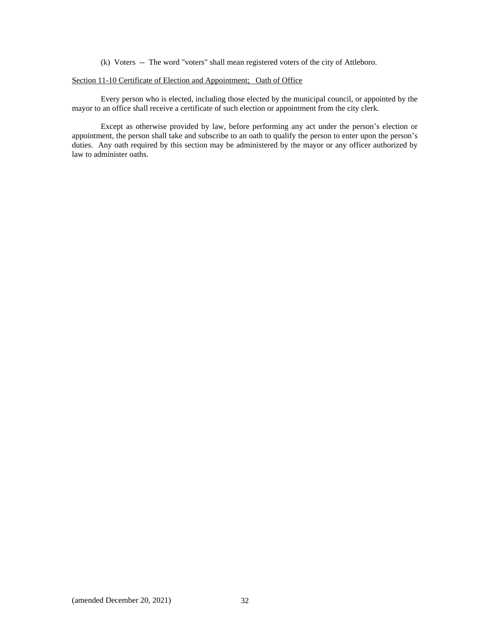(k) Voters -- The word "voters" shall mean registered voters of the city of Attleboro.

## Section 11-10 Certificate of Election and Appointment; Oath of Office

Every person who is elected, including those elected by the municipal council, or appointed by the mayor to an office shall receive a certificate of such election or appointment from the city clerk.

Except as otherwise provided by law, before performing any act under the person's election or appointment, the person shall take and subscribe to an oath to qualify the person to enter upon the person's duties. Any oath required by this section may be administered by the mayor or any officer authorized by law to administer oaths.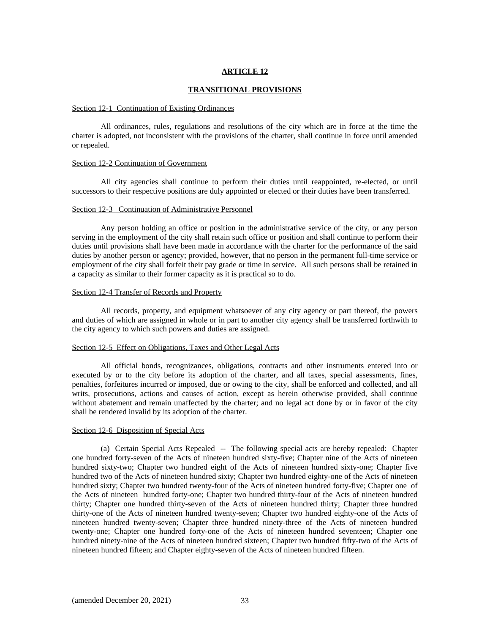#### **TRANSITIONAL PROVISIONS**

#### Section 12-1 Continuation of Existing Ordinances

All ordinances, rules, regulations and resolutions of the city which are in force at the time the charter is adopted, not inconsistent with the provisions of the charter, shall continue in force until amended or repealed.

#### Section 12-2 Continuation of Government

All city agencies shall continue to perform their duties until reappointed, re-elected, or until successors to their respective positions are duly appointed or elected or their duties have been transferred.

#### Section 12-3 Continuation of Administrative Personnel

Any person holding an office or position in the administrative service of the city, or any person serving in the employment of the city shall retain such office or position and shall continue to perform their duties until provisions shall have been made in accordance with the charter for the performance of the said duties by another person or agency; provided, however, that no person in the permanent full-time service or employment of the city shall forfeit their pay grade or time in service. All such persons shall be retained in a capacity as similar to their former capacity as it is practical so to do.

## Section 12-4 Transfer of Records and Property

All records, property, and equipment whatsoever of any city agency or part thereof, the powers and duties of which are assigned in whole or in part to another city agency shall be transferred forthwith to the city agency to which such powers and duties are assigned.

## Section 12-5 Effect on Obligations, Taxes and Other Legal Acts

All official bonds, recognizances, obligations, contracts and other instruments entered into or executed by or to the city before its adoption of the charter, and all taxes, special assessments, fines, penalties, forfeitures incurred or imposed, due or owing to the city, shall be enforced and collected, and all writs, prosecutions, actions and causes of action, except as herein otherwise provided, shall continue without abatement and remain unaffected by the charter; and no legal act done by or in favor of the city shall be rendered invalid by its adoption of the charter.

#### Section 12-6 Disposition of Special Acts

(a) Certain Special Acts Repealed -- The following special acts are hereby repealed: Chapter one hundred forty-seven of the Acts of nineteen hundred sixty-five; Chapter nine of the Acts of nineteen hundred sixty-two; Chapter two hundred eight of the Acts of nineteen hundred sixty-one; Chapter five hundred two of the Acts of nineteen hundred sixty; Chapter two hundred eighty-one of the Acts of nineteen hundred sixty; Chapter two hundred twenty-four of the Acts of nineteen hundred forty-five; Chapter one of the Acts of nineteen hundred forty-one; Chapter two hundred thirty-four of the Acts of nineteen hundred thirty; Chapter one hundred thirty-seven of the Acts of nineteen hundred thirty; Chapter three hundred thirty-one of the Acts of nineteen hundred twenty-seven; Chapter two hundred eighty-one of the Acts of nineteen hundred twenty-seven; Chapter three hundred ninety-three of the Acts of nineteen hundred twenty-one; Chapter one hundred forty-one of the Acts of nineteen hundred seventeen; Chapter one hundred ninety-nine of the Acts of nineteen hundred sixteen; Chapter two hundred fifty-two of the Acts of nineteen hundred fifteen; and Chapter eighty-seven of the Acts of nineteen hundred fifteen.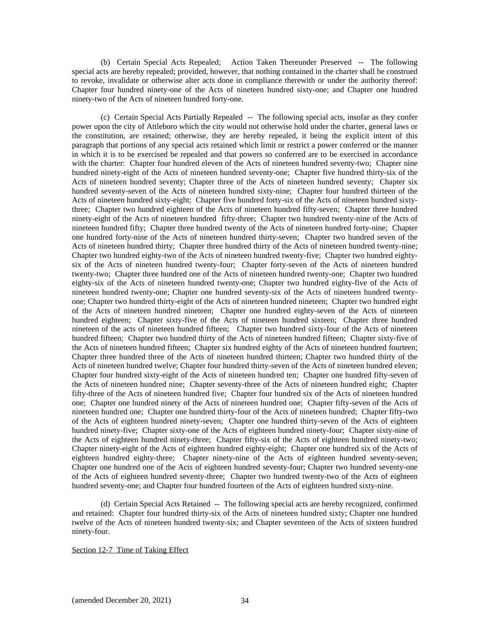(b) Certain Special Acts Repealed; Action Taken Thereunder Preserved -- The following special acts are hereby repealed; provided, however, that nothing contained in the charter shall be construed to revoke, invalidate or otherwise alter acts done in compliance therewith or under the authority thereof: Chapter four hundred ninety-one of the Acts of nineteen hundred sixty-one; and Chapter one hundred ninety-two of the Acts of nineteen hundred forty-one.

(c) Certain Special Acts Partially Repealed -- The following special acts, insofar as they confer power upon the city of Attleboro which the city would not otherwise hold under the charter, general laws or the constitution, are retained; otherwise, they are hereby repealed, it being the explicit intent of this paragraph that portions of any special acts retained which limit or restrict a power conferred or the manner in which it is to be exercised be repealed and that powers so conferred are to be exercised in accordance with the charter: Chapter four hundred eleven of the Acts of nineteen hundred seventy-two; Chapter nine hundred ninety-eight of the Acts of nineteen hundred seventy-one; Chapter five hundred thirty-six of the Acts of nineteen hundred seventy; Chapter three of the Acts of nineteen hundred seventy; Chapter six hundred seventy-seven of the Acts of nineteen hundred sixty-nine; Chapter four hundred thirteen of the Acts of nineteen hundred sixty-eight; Chapter five hundred forty-six of the Acts of nineteen hundred sixtythree; Chapter two hundred eighteen of the Acts of nineteen hundred fifty-seven; Chapter three hundred ninety-eight of the Acts of nineteen hundred fifty-three; Chapter two hundred twenty-nine of the Acts of nineteen hundred fifty; Chapter three hundred twenty of the Acts of nineteen hundred forty-nine; Chapter one hundred forty-nine of the Acts of nineteen hundred thirty-seven; Chapter two hundred seven of the Acts of nineteen hundred thirty; Chapter three hundred thirty of the Acts of nineteen hundred twenty-nine; Chapter two hundred eighty-two of the Acts of nineteen hundred twenty-five; Chapter two hundred eightysix of the Acts of nineteen hundred twenty-four; Chapter forty-seven of the Acts of nineteen hundred twenty-two; Chapter three hundred one of the Acts of nineteen hundred twenty-one; Chapter two hundred eighty-six of the Acts of nineteen hundred twenty-one; Chapter two hundred eighty-five of the Acts of nineteen hundred twenty-one; Chapter one hundred seventy-six of the Acts of nineteen hundred twentyone; Chapter two hundred thirty-eight of the Acts of nineteen hundred nineteen; Chapter two hundred eight of the Acts of nineteen hundred nineteen; Chapter one hundred eighty-seven of the Acts of nineteen hundred eighteen; Chapter sixty-five of the Acts of nineteen hundred sixteen; Chapter three hundred nineteen of the acts of nineteen hundred fifteen; Chapter two hundred sixty-four of the Acts of nineteen hundred fifteen; Chapter two hundred thirty of the Acts of nineteen hundred fifteen; Chapter sixty-five of the Acts of nineteen hundred fifteen; Chapter six hundred eighty of the Acts of nineteen hundred fourteen; Chapter three hundred three of the Acts of nineteen hundred thirteen; Chapter two hundred thirty of the Acts of nineteen hundred twelve; Chapter four hundred thirty-seven of the Acts of nineteen hundred eleven; Chapter four hundred sixty-eight of the Acts of nineteen hundred ten; Chapter one hundred fifty-seven of the Acts of nineteen hundred nine; Chapter seventy-three of the Acts of nineteen hundred eight; Chapter fifty-three of the Acts of nineteen hundred five; Chapter four hundred six of the Acts of nineteen hundred one; Chapter one hundred ninety of the Acts of nineteen hundred one; Chapter fifty-seven of the Acts of nineteen hundred one; Chapter one hundred thirty-four of the Acts of nineteen hundred; Chapter fifty-two of the Acts of eighteen hundred ninety-seven; Chapter one hundred thirty-seven of the Acts of eighteen hundred ninety-five; Chapter sixty-one of the Acts of eighteen hundred ninety-four; Chapter sixty-nine of the Acts of eighteen hundred ninety-three; Chapter fifty-six of the Acts of eighteen hundred ninety-two; Chapter ninety-eight of the Acts of eighteen hundred eighty-eight; Chapter one hundred six of the Acts of eighteen hundred eighty-three; Chapter ninety-nine of the Acts of eighteen hundred seventy-seven; Chapter one hundred one of the Acts of eighteen hundred seventy-four; Chapter two hundred seventy-one of the Acts of eighteen hundred seventy-three; Chapter two hundred twenty-two of the Acts of eighteen hundred seventy-one; and Chapter four hundred fourteen of the Acts of eighteen hundred sixty-nine.

(d) Certain Special Acts Retained -- The following special acts are hereby recognized, confirmed and retained: Chapter four hundred thirty-six of the Acts of nineteen hundred sixty; Chapter one hundred twelve of the Acts of nineteen hundred twenty-six; and Chapter seventeen of the Acts of sixteen hundred ninety-four.

## Section 12-7 Time of Taking Effect